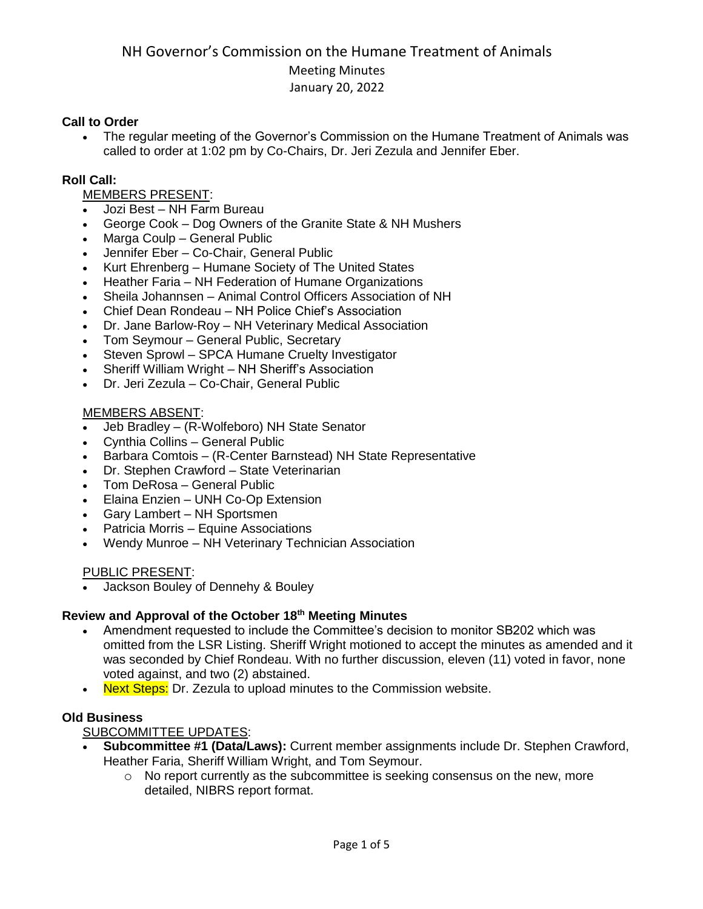### **Call to Order**

 The regular meeting of the Governor's Commission on the Humane Treatment of Animals was called to order at 1:02 pm by Co-Chairs, Dr. Jeri Zezula and Jennifer Eber.

### **Roll Call:**

### MEMBERS PRESENT:

- Jozi Best NH Farm Bureau
- George Cook Dog Owners of the Granite State & NH Mushers
- Marga Coulp General Public
- Jennifer Eber Co-Chair, General Public
- Kurt Ehrenberg Humane Society of The United States
- Heather Faria NH Federation of Humane Organizations
- Sheila Johannsen Animal Control Officers Association of NH
- Chief Dean Rondeau NH Police Chief's Association
- Dr. Jane Barlow-Roy NH Veterinary Medical Association
- Tom Seymour General Public, Secretary
- Steven Sprowl SPCA Humane Cruelty Investigator
- Sheriff William Wright NH Sheriff's Association
- Dr. Jeri Zezula Co-Chair, General Public

#### MEMBERS ABSENT:

- Jeb Bradley (R-Wolfeboro) NH State Senator
- Cynthia Collins General Public
- Barbara Comtois (R-Center Barnstead) NH State Representative
- Dr. Stephen Crawford State Veterinarian
- Tom DeRosa General Public
- Elaina Enzien UNH Co-Op Extension
- Gary Lambert NH Sportsmen
- Patricia Morris Equine Associations
- Wendy Munroe NH Veterinary Technician Association

#### PUBLIC PRESENT:

Jackson Bouley of Dennehy & Bouley

#### **Review and Approval of the October 18th Meeting Minutes**

- Amendment requested to include the Committee's decision to monitor SB202 which was omitted from the LSR Listing. Sheriff Wright motioned to accept the minutes as amended and it was seconded by Chief Rondeau. With no further discussion, eleven (11) voted in favor, none voted against, and two (2) abstained.
- Next Steps: Dr. Zezula to upload minutes to the Commission website.

#### **Old Business**

SUBCOMMITTEE UPDATES:

- **Subcommittee #1 (Data/Laws):** Current member assignments include Dr. Stephen Crawford, Heather Faria, Sheriff William Wright, and Tom Seymour.
	- $\circ$  No report currently as the subcommittee is seeking consensus on the new, more detailed, NIBRS report format.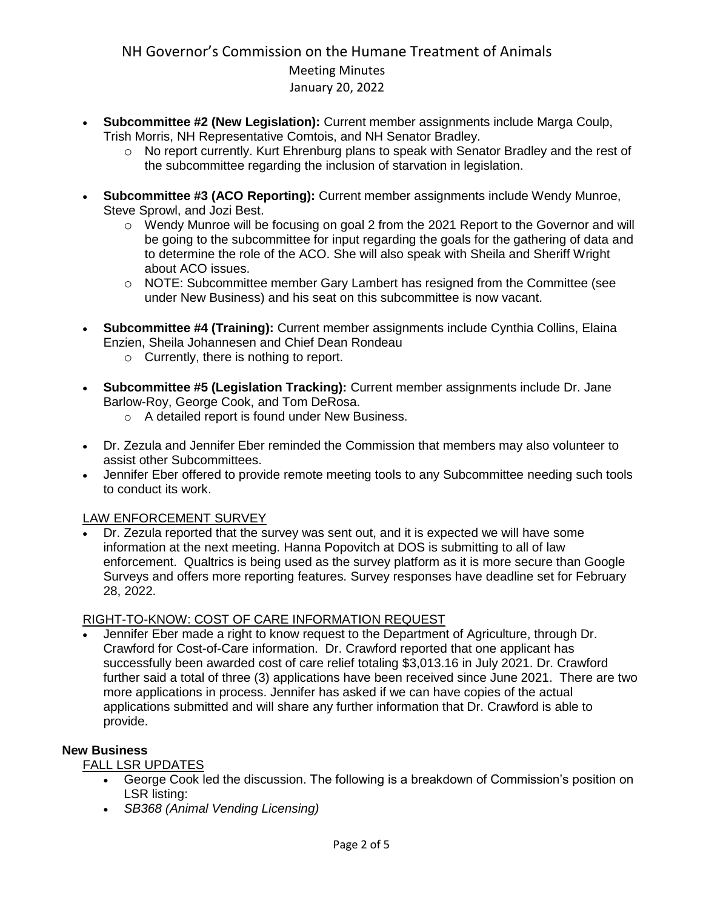- **Subcommittee #2 (New Legislation):** Current member assignments include Marga Coulp, Trish Morris, NH Representative Comtois, and NH Senator Bradley.
	- o No report currently. Kurt Ehrenburg plans to speak with Senator Bradley and the rest of the subcommittee regarding the inclusion of starvation in legislation.
- **Subcommittee #3 (ACO Reporting):** Current member assignments include Wendy Munroe, Steve Sprowl, and Jozi Best.
	- o Wendy Munroe will be focusing on goal 2 from the 2021 Report to the Governor and will be going to the subcommittee for input regarding the goals for the gathering of data and to determine the role of the ACO. She will also speak with Sheila and Sheriff Wright about ACO issues.
	- o NOTE: Subcommittee member Gary Lambert has resigned from the Committee (see under New Business) and his seat on this subcommittee is now vacant.
- **Subcommittee #4 (Training):** Current member assignments include Cynthia Collins, Elaina Enzien, Sheila Johannesen and Chief Dean Rondeau
	- o Currently, there is nothing to report.
- **Subcommittee #5 (Legislation Tracking):** Current member assignments include Dr. Jane Barlow-Roy, George Cook, and Tom DeRosa.
	- o A detailed report is found under New Business.
- Dr. Zezula and Jennifer Eber reminded the Commission that members may also volunteer to assist other Subcommittees.
- Jennifer Eber offered to provide remote meeting tools to any Subcommittee needing such tools to conduct its work.

#### LAW ENFORCEMENT SURVEY

 Dr. Zezula reported that the survey was sent out, and it is expected we will have some information at the next meeting. Hanna Popovitch at DOS is submitting to all of law enforcement. Qualtrics is being used as the survey platform as it is more secure than Google Surveys and offers more reporting features. Survey responses have deadline set for February 28, 2022.

#### RIGHT-TO-KNOW: COST OF CARE INFORMATION REQUEST

 Jennifer Eber made a right to know request to the Department of Agriculture, through Dr. Crawford for Cost-of-Care information. Dr. Crawford reported that one applicant has successfully been awarded cost of care relief totaling \$3,013.16 in July 2021. Dr. Crawford further said a total of three (3) applications have been received since June 2021. There are two more applications in process. Jennifer has asked if we can have copies of the actual applications submitted and will share any further information that Dr. Crawford is able to provide.

## **New Business**

#### FALL LSR UPDATES

- George Cook led the discussion. The following is a breakdown of Commission's position on LSR listing:
- *SB368 (Animal Vending Licensing)*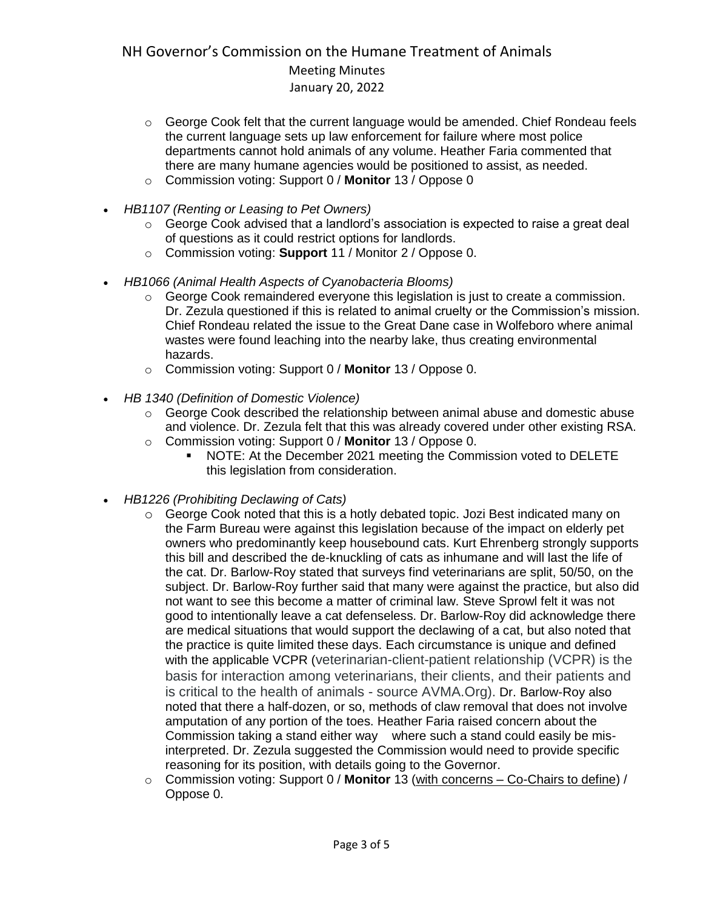- $\circ$  George Cook felt that the current language would be amended. Chief Rondeau feels the current language sets up law enforcement for failure where most police departments cannot hold animals of any volume. Heather Faria commented that there are many humane agencies would be positioned to assist, as needed.
- o Commission voting: Support 0 / **Monitor** 13 / Oppose 0
- *HB1107 (Renting or Leasing to Pet Owners)*
	- o George Cook advised that a landlord's association is expected to raise a great deal of questions as it could restrict options for landlords.
	- o Commission voting: **Support** 11 / Monitor 2 / Oppose 0.
- *HB1066 (Animal Health Aspects of Cyanobacteria Blooms)*
	- o George Cook remaindered everyone this legislation is just to create a commission. Dr. Zezula questioned if this is related to animal cruelty or the Commission's mission. Chief Rondeau related the issue to the Great Dane case in Wolfeboro where animal wastes were found leaching into the nearby lake, thus creating environmental hazards.
	- o Commission voting: Support 0 / **Monitor** 13 / Oppose 0.
- *HB 1340 (Definition of Domestic Violence)*
	- o George Cook described the relationship between animal abuse and domestic abuse and violence. Dr. Zezula felt that this was already covered under other existing RSA.
	- o Commission voting: Support 0 / **Monitor** 13 / Oppose 0.
		- NOTE: At the December 2021 meeting the Commission voted to DELETE this legislation from consideration.
- *HB1226 (Prohibiting Declawing of Cats)*
	- o George Cook noted that this is a hotly debated topic. Jozi Best indicated many on the Farm Bureau were against this legislation because of the impact on elderly pet owners who predominantly keep housebound cats. Kurt Ehrenberg strongly supports this bill and described the de-knuckling of cats as inhumane and will last the life of the cat. Dr. Barlow-Roy stated that surveys find veterinarians are split, 50/50, on the subject. Dr. Barlow-Roy further said that many were against the practice, but also did not want to see this become a matter of criminal law. Steve Sprowl felt it was not good to intentionally leave a cat defenseless. Dr. Barlow-Roy did acknowledge there are medical situations that would support the declawing of a cat, but also noted that the practice is quite limited these days. Each circumstance is unique and defined with the applicable VCPR (veterinarian-client-patient relationship (VCPR) is the basis for interaction among veterinarians, their clients, and their patients and is critical to the health of animals - source AVMA.Org). Dr. Barlow-Roy also noted that there a half-dozen, or so, methods of claw removal that does not involve amputation of any portion of the toes. Heather Faria raised concern about the Commission taking a stand either way where such a stand could easily be misinterpreted. Dr. Zezula suggested the Commission would need to provide specific reasoning for its position, with details going to the Governor.
	- o Commission voting: Support 0 / **Monitor** 13 (with concerns Co-Chairs to define) / Oppose 0.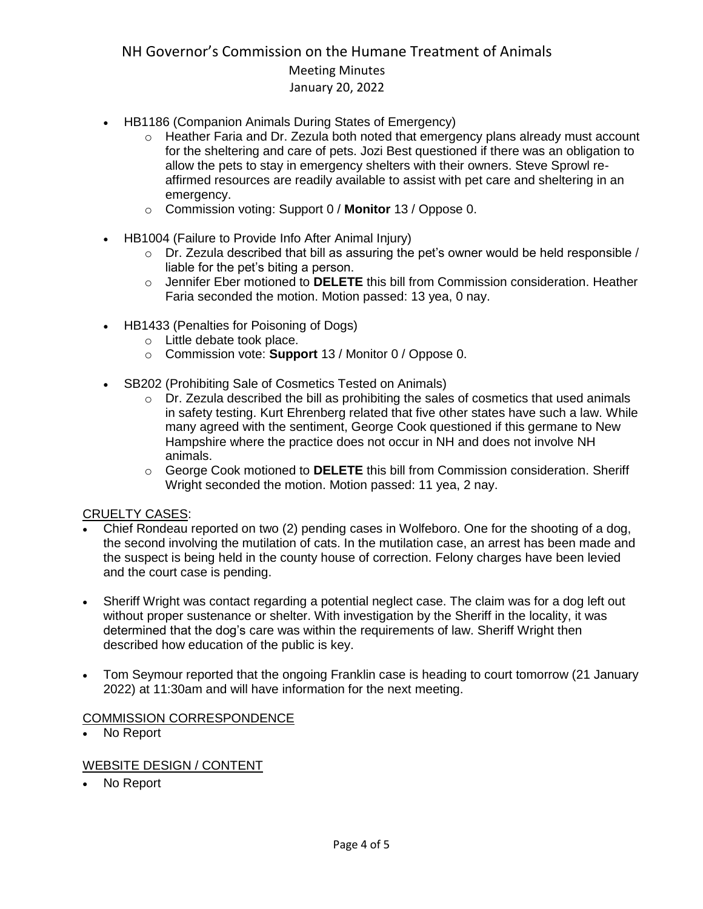- HB1186 (Companion Animals During States of Emergency)
	- o Heather Faria and Dr. Zezula both noted that emergency plans already must account for the sheltering and care of pets. Jozi Best questioned if there was an obligation to allow the pets to stay in emergency shelters with their owners. Steve Sprowl reaffirmed resources are readily available to assist with pet care and sheltering in an emergency.
	- o Commission voting: Support 0 / **Monitor** 13 / Oppose 0.
- HB1004 (Failure to Provide Info After Animal Injury)
	- $\circ$  Dr. Zezula described that bill as assuring the pet's owner would be held responsible / liable for the pet's biting a person.
	- o Jennifer Eber motioned to **DELETE** this bill from Commission consideration. Heather Faria seconded the motion. Motion passed: 13 yea, 0 nay.
- HB1433 (Penalties for Poisoning of Dogs)
	- o Little debate took place.
	- o Commission vote: **Support** 13 / Monitor 0 / Oppose 0.
- SB202 (Prohibiting Sale of Cosmetics Tested on Animals)
	- o Dr. Zezula described the bill as prohibiting the sales of cosmetics that used animals in safety testing. Kurt Ehrenberg related that five other states have such a law. While many agreed with the sentiment, George Cook questioned if this germane to New Hampshire where the practice does not occur in NH and does not involve NH animals.
	- o George Cook motioned to **DELETE** this bill from Commission consideration. Sheriff Wright seconded the motion. Motion passed: 11 yea, 2 nay.

### CRUELTY CASES:

- Chief Rondeau reported on two (2) pending cases in Wolfeboro. One for the shooting of a dog, the second involving the mutilation of cats. In the mutilation case, an arrest has been made and the suspect is being held in the county house of correction. Felony charges have been levied and the court case is pending.
- Sheriff Wright was contact regarding a potential neglect case. The claim was for a dog left out without proper sustenance or shelter. With investigation by the Sheriff in the locality, it was determined that the dog's care was within the requirements of law. Sheriff Wright then described how education of the public is key.
- Tom Seymour reported that the ongoing Franklin case is heading to court tomorrow (21 January 2022) at 11:30am and will have information for the next meeting.

#### COMMISSION CORRESPONDENCE

No Report

### WEBSITE DESIGN / CONTENT

• No Report